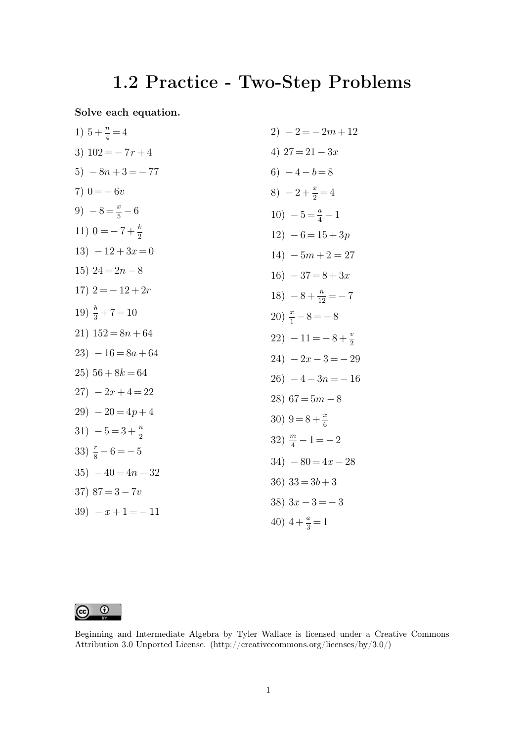## **1.2 Practice - Two-Step Problems**

**Solve each equation.**

1) 
$$
5 + \frac{n}{4} = 4
$$
  
\n2)  $-2 = -2m + 12$   
\n3)  $102 = -7r + 4$   
\n4)  $27 = 21 - 3x$   
\n5)  $-8n + 3 = -77$   
\n6)  $-4 - b = 8$   
\n7)  $0 = -6v$   
\n8)  $-2 + \frac{x}{2} = 4$   
\n9)  $-8 = \frac{x}{5} - 6$   
\n11)  $0 = -7 + \frac{k}{2}$   
\n12)  $-6 = 15 + 3p$   
\n13)  $-12 + 3x = 0$   
\n14)  $-5m + 2 = 27$   
\n15)  $24 = 2n - 8$   
\n16)  $-37 = 8 + 3x$   
\n17)  $2 = -12 + 2r$   
\n18)  $-8 + \frac{n}{12} = -7$   
\n19)  $\frac{k}{3} + 7 = 10$   
\n21)  $152 = 8n + 64$   
\n22)  $-11 = -8 + \frac{v}{2}$   
\n23)  $-16 = 8a + 64$   
\n24)  $-2x - 3 = -29$   
\n25)  $56 + 8k = 64$   
\n26)  $-4 - 3n = -16$   
\n27)  $-2x + 4 = 22$   
\n28)  $67 = 5m - 8$   
\n29)  $-20 = 4p + 4$   
\n31)  $-5 = 3 + \frac{n}{2}$   
\n32)  $\frac{n}{4} - 1 = -2$   
\n33)  $\frac{r}{8} - 6 = -5$   
\n34)  $-80 = 4x - 28$   
\n35)  $-40 = 4n - 32$   
\n36)  $33 = 3b + 3$   
\n37)  $87 = 3 - 7v$   
\n38)  $3x - 3 = -3$   
\n39)  $-x + 1 = -11$ <



Beginning and Intermediate Algebra by Tyler Wallace is licensed under a Creative Commons Attribution 3.0 Unported License. (http://creativecommons.org/licenses/by/3.0/)